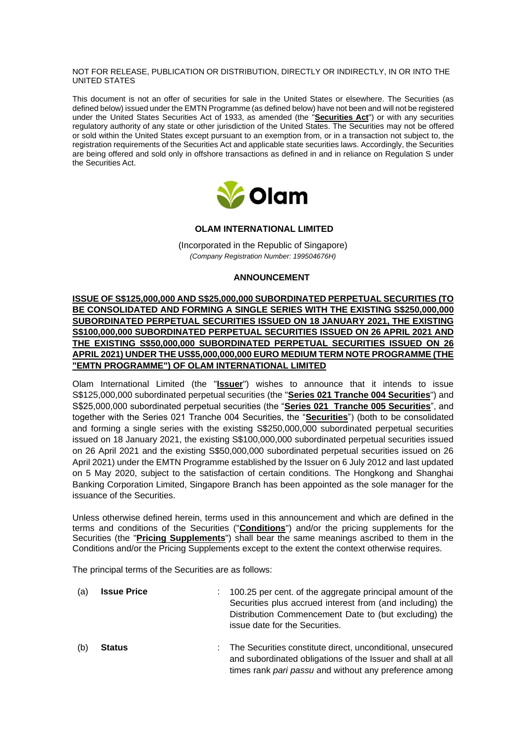### NOT FOR RELEASE, PUBLICATION OR DISTRIBUTION, DIRECTLY OR INDIRECTLY, IN OR INTO THE UNITED STATES

This document is not an offer of securities for sale in the United States or elsewhere. The Securities (as defined below) issued under the EMTN Programme (as defined below) have not been and will not be registered under the United States Securities Act of 1933, as amended (the "**Securities Act**") or with any securities regulatory authority of any state or other jurisdiction of the United States. The Securities may not be offered or sold within the United States except pursuant to an exemption from, or in a transaction not subject to, the registration requirements of the Securities Act and applicable state securities laws. Accordingly, the Securities are being offered and sold only in offshore transactions as defined in and in reliance on Regulation S under the Securities Act.



# **OLAM INTERNATIONAL LIMITED**

(Incorporated in the Republic of Singapore) *(Company Registration Number: 199504676H)*

## **ANNOUNCEMENT**

**ISSUE OF S\$125,000,000 AND S\$25,000,000 SUBORDINATED PERPETUAL SECURITIES (TO BE CONSOLIDATED AND FORMING A SINGLE SERIES WITH THE EXISTING S\$250,000,000 SUBORDINATED PERPETUAL SECURITIES ISSUED ON 18 JANUARY 2021, THE EXISTING S\$100,000,000 SUBORDINATED PERPETUAL SECURITIES ISSUED ON 26 APRIL 2021 AND THE EXISTING S\$50,000,000 SUBORDINATED PERPETUAL SECURITIES ISSUED ON 26 APRIL 2021) UNDER THE US\$5,000,000,000 EURO MEDIUM TERM NOTE PROGRAMME (THE "EMTN PROGRAMME") OF OLAM INTERNATIONAL LIMITED**

Olam International Limited (the "**Issuer**") wishes to announce that it intends to issue S\$125,000,000 subordinated perpetual securities (the "**Series 021 Tranche 004 Securities**") and S\$25,000,000 subordinated perpetual securities (the "**Series 021 Tranche 005 Securities**", and together with the Series 021 Tranche 004 Securities, the "**Securities**") (both to be consolidated and forming a single series with the existing S\$250,000,000 subordinated perpetual securities issued on 18 January 2021, the existing S\$100,000,000 subordinated perpetual securities issued on 26 April 2021 and the existing S\$50,000,000 subordinated perpetual securities issued on 26 April 2021) under the EMTN Programme established by the Issuer on 6 July 2012 and last updated on 5 May 2020, subject to the satisfaction of certain conditions. The Hongkong and Shanghai Banking Corporation Limited, Singapore Branch has been appointed as the sole manager for the issuance of the Securities.

Unless otherwise defined herein, terms used in this announcement and which are defined in the terms and conditions of the Securities ("**Conditions**") and/or the pricing supplements for the Securities (the "**Pricing Supplements**") shall bear the same meanings ascribed to them in the Conditions and/or the Pricing Supplements except to the extent the context otherwise requires.

The principal terms of the Securities are as follows:

| (a) | <b>Issue Price</b> | 100.25 per cent. of the aggregate principal amount of the<br>Securities plus accrued interest from (and including) the<br>Distribution Commencement Date to (but excluding) the<br>issue date for the Securities. |
|-----|--------------------|-------------------------------------------------------------------------------------------------------------------------------------------------------------------------------------------------------------------|
| (b) | <b>Status</b>      | The Securities constitute direct, unconditional, unsecured<br>and subordinated obligations of the Issuer and shall at all<br>times rank pari passu and without any preference among                               |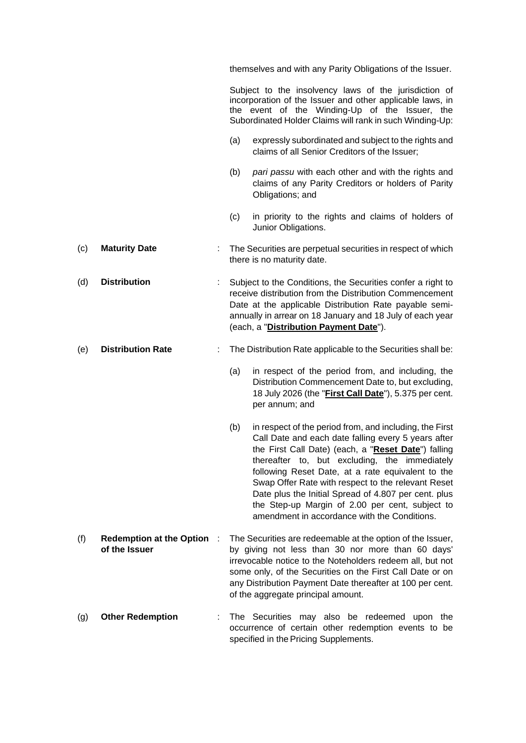themselves and with any Parity Obligations of the Issuer.

Subject to the insolvency laws of the jurisdiction of incorporation of the Issuer and other applicable laws, in the event of the Winding-Up of the Issuer, the Subordinated Holder Claims will rank in such Winding-Up:

- (a) expressly subordinated and subject to the rights and claims of all Senior Creditors of the Issuer;
- (b) *pari passu* with each other and with the rights and claims of any Parity Creditors or holders of Parity Obligations; and
- (c) in priority to the rights and claims of holders of Junior Obligations.
- (c) **Maturity Date** : The Securities are perpetual securities in respect of which there is no maturity date.
- (d) **Distribution** : Subject to the Conditions, the Securities confer a right to receive distribution from the Distribution Commencement Date at the applicable Distribution Rate payable semiannually in arrear on 18 January and 18 July of each year (each, a "**Distribution Payment Date**").

## (e) **Distribution Rate** : The Distribution Rate applicable to the Securities shall be:

- (a) in respect of the period from, and including, the Distribution Commencement Date to, but excluding, 18 July 2026 (the "**First Call Date**"), 5.375 per cent. per annum; and
- (b) in respect of the period from, and including, the First Call Date and each date falling every 5 years after the First Call Date) (each, a "**Reset Date**") falling thereafter to, but excluding, the immediately following Reset Date, at a rate equivalent to the Swap Offer Rate with respect to the relevant Reset Date plus the Initial Spread of 4.807 per cent. plus the Step-up Margin of 2.00 per cent, subject to amendment in accordance with the Conditions.
- (f) **Redemption at the Option of the Issuer** : The Securities are redeemable at the option of the Issuer, by giving not less than 30 nor more than 60 days' irrevocable notice to the Noteholders redeem all, but not some only, of the Securities on the First Call Date or on any Distribution Payment Date thereafter at 100 per cent. of the aggregate principal amount.
- (g) **Other Redemption** : The Securities may also be redeemed upon the occurrence of certain other redemption events to be specified in the Pricing Supplements.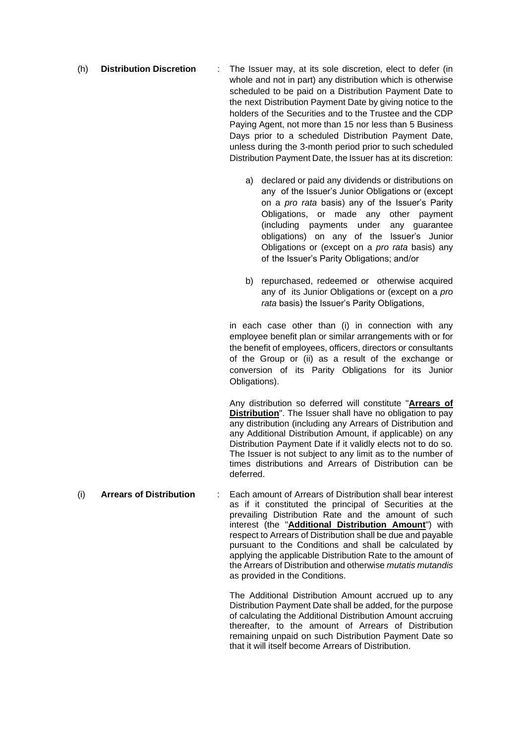- (h) **Distribution Discretion** : The Issuer may, at its sole discretion, elect to defer (in whole and not in part) any distribution which is otherwise scheduled to be paid on a Distribution Payment Date to the next Distribution Payment Date by giving notice to the holders of the Securities and to the Trustee and the CDP Paying Agent, not more than 15 nor less than 5 Business Days prior to a scheduled Distribution Payment Date, unless during the 3-month period prior to such scheduled Distribution Payment Date, the Issuer has at its discretion:
	- a) declared or paid any dividends or distributions on any of the Issuer's Junior Obligations or (except on a *pro rata* basis) any of the Issuer's Parity Obligations, or made any other payment (including payments under any guarantee obligations) on any of the Issuer's Junior Obligations or (except on a *pro rata* basis) any of the Issuer's Parity Obligations; and/or
	- b) repurchased, redeemed or otherwise acquired any of its Junior Obligations or (except on a *pro rata* basis) the Issuer's Parity Obligations,

in each case other than (i) in connection with any employee benefit plan or similar arrangements with or for the benefit of employees, officers, directors or consultants of the Group or (ii) as a result of the exchange or conversion of its Parity Obligations for its Junior Obligations).

Any distribution so deferred will constitute "**Arrears of Distribution**". The Issuer shall have no obligation to pay any distribution (including any Arrears of Distribution and any Additional Distribution Amount, if applicable) on any Distribution Payment Date if it validly elects not to do so. The Issuer is not subject to any limit as to the number of times distributions and Arrears of Distribution can be deferred.

(i) **Arrears of Distribution** : Each amount of Arrears of Distribution shall bear interest as if it constituted the principal of Securities at the prevailing Distribution Rate and the amount of such interest (the "**Additional Distribution Amount**") with respect to Arrears of Distribution shall be due and payable pursuant to the Conditions and shall be calculated by applying the applicable Distribution Rate to the amount of the Arrears of Distribution and otherwise *mutatis mutandis*  as provided in the Conditions.

> The Additional Distribution Amount accrued up to any Distribution Payment Date shall be added, for the purpose of calculating the Additional Distribution Amount accruing thereafter, to the amount of Arrears of Distribution remaining unpaid on such Distribution Payment Date so that it will itself become Arrears of Distribution.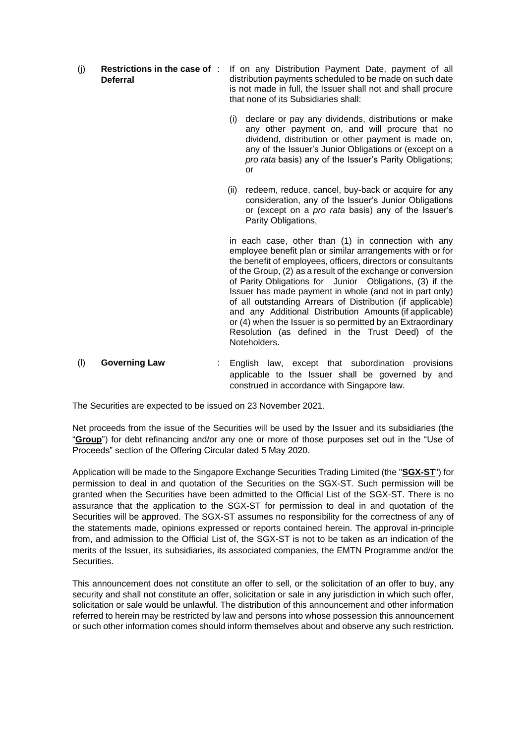- (j) **Restrictions in the case of Deferral**
	- If on any Distribution Payment Date, payment of all distribution payments scheduled to be made on such date is not made in full, the Issuer shall not and shall procure that none of its Subsidiaries shall:
		- (i) declare or pay any dividends, distributions or make any other payment on, and will procure that no dividend, distribution or other payment is made on, any of the Issuer's Junior Obligations or (except on a *pro rata* basis) any of the Issuer's Parity Obligations; or
	- (ii) redeem, reduce, cancel, buy-back or acquire for any consideration, any of the Issuer's Junior Obligations or (except on a *pro rata* basis) any of the Issuer's Parity Obligations,

in each case, other than (1) in connection with any employee benefit plan or similar arrangements with or for the benefit of employees, officers, directors or consultants of the Group, (2) as a result of the exchange or conversion of Parity Obligations for Junior Obligations, (3) if the Issuer has made payment in whole (and not in part only) of all outstanding Arrears of Distribution (if applicable) and any Additional Distribution Amounts (if applicable) or (4) when the Issuer is so permitted by an Extraordinary Resolution (as defined in the Trust Deed) of the Noteholders.

(l) **Governing Law** : English law, except that subordination provisions applicable to the Issuer shall be governed by and construed in accordance with Singapore law.

The Securities are expected to be issued on 23 November 2021.

Net proceeds from the issue of the Securities will be used by the Issuer and its subsidiaries (the "**Group**") for debt refinancing and/or any one or more of those purposes set out in the "Use of Proceeds" section of the Offering Circular dated 5 May 2020.

Application will be made to the Singapore Exchange Securities Trading Limited (the "**SGX-ST**") for permission to deal in and quotation of the Securities on the SGX-ST. Such permission will be granted when the Securities have been admitted to the Official List of the SGX-ST. There is no assurance that the application to the SGX-ST for permission to deal in and quotation of the Securities will be approved. The SGX-ST assumes no responsibility for the correctness of any of the statements made, opinions expressed or reports contained herein. The approval in-principle from, and admission to the Official List of, the SGX-ST is not to be taken as an indication of the merits of the Issuer, its subsidiaries, its associated companies, the EMTN Programme and/or the Securities.

This announcement does not constitute an offer to sell, or the solicitation of an offer to buy, any security and shall not constitute an offer, solicitation or sale in any jurisdiction in which such offer, solicitation or sale would be unlawful. The distribution of this announcement and other information referred to herein may be restricted by law and persons into whose possession this announcement or such other information comes should inform themselves about and observe any such restriction.